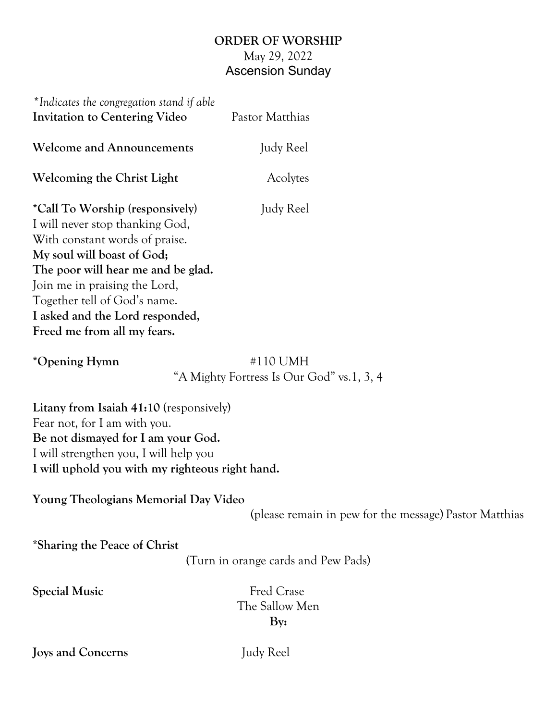## **ORDER OF WORSHIP** May 29, 2022 Ascension Sunday

| *Indicates the congregation stand if able<br><b>Invitation to Centering Video</b> | Pastor Matthias |
|-----------------------------------------------------------------------------------|-----------------|
| <b>Welcome and Announcements</b>                                                  | Judy Reel       |
| <b>Welcoming the Christ Light</b>                                                 | Acolytes        |
| *Call To Worship (responsively)                                                   | Judy Reel       |
| I will never stop thanking God,                                                   |                 |
| With constant words of praise.                                                    |                 |
| My soul will boast of God;                                                        |                 |
| The poor will hear me and be glad.                                                |                 |
| Join me in praising the Lord,                                                     |                 |
| Together tell of God's name.                                                      |                 |
| I asked and the Lord responded,                                                   |                 |
| Freed me from all my fears.                                                       |                 |

**\*Opening Hymn** #110 UMH "A Mighty Fortress Is Our God" vs.1, 3, 4

**Litany from Isaiah 41:10** (responsively) Fear not, for I am with you. **Be not dismayed for I am your God.** I will strengthen you, I will help you **I will uphold you with my righteous right hand.**

**Young Theologians Memorial Day Video**

(please remain in pew for the message) Pastor Matthias

**\*Sharing the Peace of Christ**

(Turn in orange cards and Pew Pads)

**Special Music** Fred Crase

The Sallow Men **By:** 

**Joys and Concerns** Judy Reel